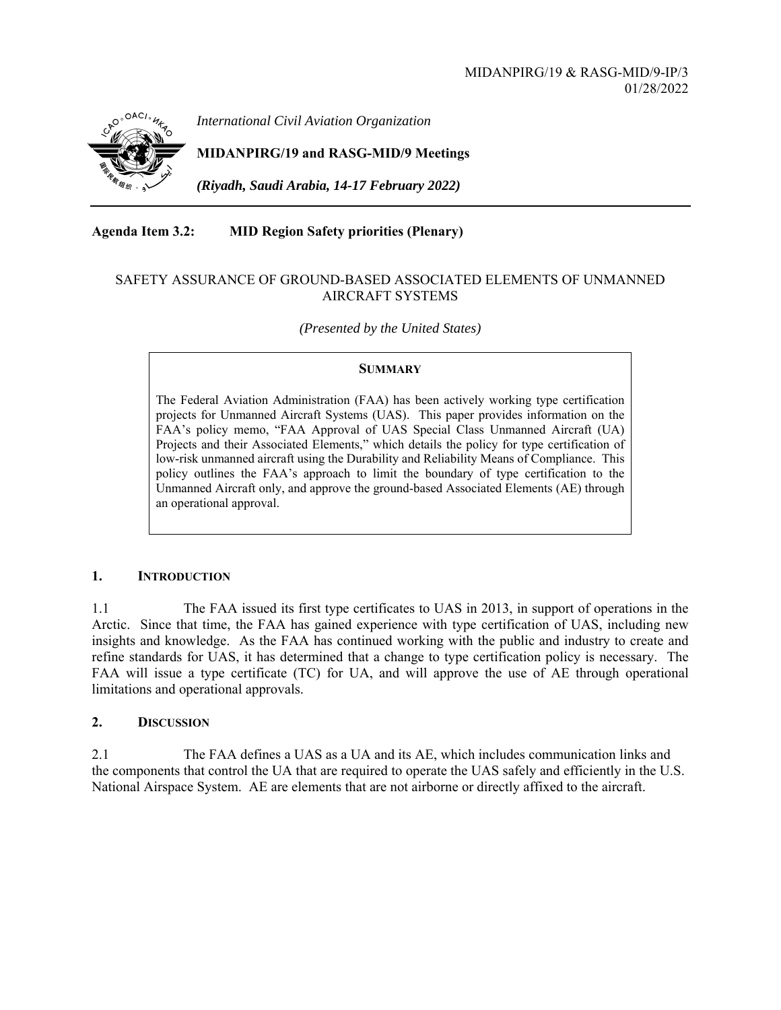

*International Civil Aviation Organization*

**MIDANPIRG/19 and RASG-MID/9 Meetings** 

*(Riyadh, Saudi Arabia, 14-17 February 2022)* 

**Agenda Item 3.2: MID Region Safety priorities (Plenary)** 

# SAFETY ASSURANCE OF GROUND-BASED ASSOCIATED ELEMENTS OF UNMANNED AIRCRAFT SYSTEMS

*(Presented by the United States)* 

## **SUMMARY**

The Federal Aviation Administration (FAA) has been actively working type certification projects for Unmanned Aircraft Systems (UAS). This paper provides information on the FAA's policy memo, "FAA Approval of UAS Special Class Unmanned Aircraft (UA) Projects and their Associated Elements," which details the policy for type certification of low-risk unmanned aircraft using the Durability and Reliability Means of Compliance. This policy outlines the FAA's approach to limit the boundary of type certification to the Unmanned Aircraft only, and approve the ground-based Associated Elements (AE) through an operational approval.

## **1. INTRODUCTION**

1.1 The FAA issued its first type certificates to UAS in 2013, in support of operations in the Arctic. Since that time, the FAA has gained experience with type certification of UAS, including new insights and knowledge. As the FAA has continued working with the public and industry to create and refine standards for UAS, it has determined that a change to type certification policy is necessary. The FAA will issue a type certificate (TC) for UA, and will approve the use of AE through operational limitations and operational approvals.

## **2. DISCUSSION**

2.1 The FAA defines a UAS as a UA and its AE, which includes communication links and the components that control the UA that are required to operate the UAS safely and efficiently in the U.S. National Airspace System. AE are elements that are not airborne or directly affixed to the aircraft.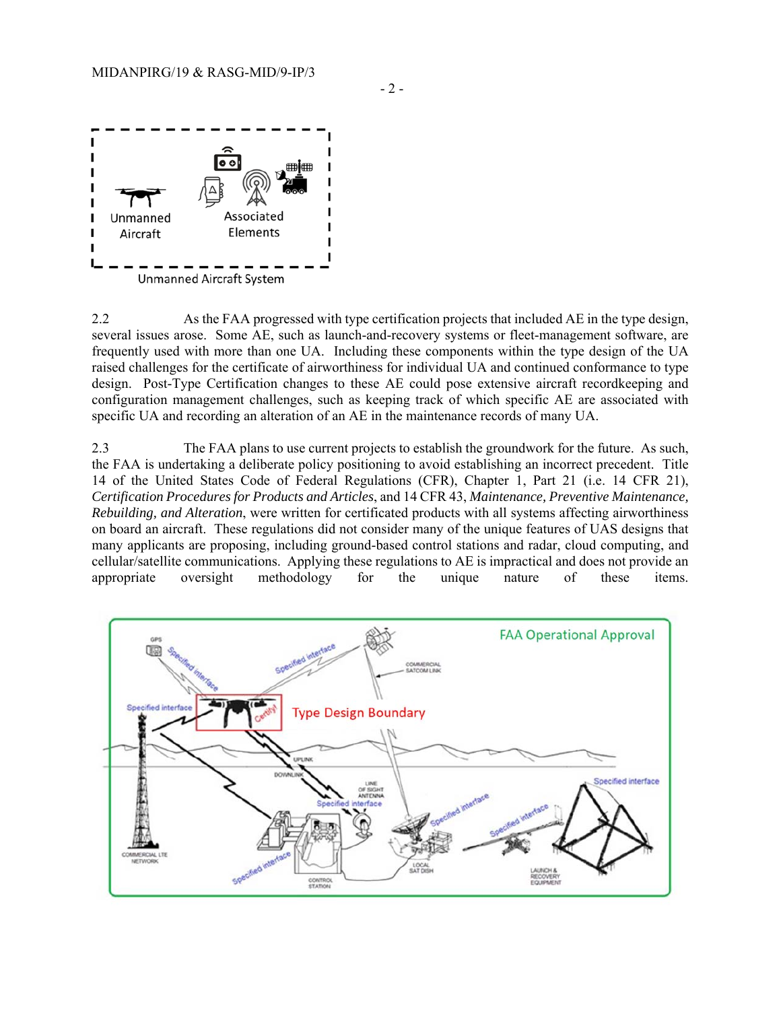

2.2 As the FAA progressed with type certification projects that included AE in the type design, several issues arose. Some AE, such as launch-and-recovery systems or fleet-management software, are frequently used with more than one UA. Including these components within the type design of the UA raised challenges for the certificate of airworthiness for individual UA and continued conformance to type design. Post-Type Certification changes to these AE could pose extensive aircraft recordkeeping and configuration management challenges, such as keeping track of which specific AE are associated with specific UA and recording an alteration of an AE in the maintenance records of many UA.

2.3 The FAA plans to use current projects to establish the groundwork for the future. As such, the FAA is undertaking a deliberate policy positioning to avoid establishing an incorrect precedent. Title 14 of the United States Code of Federal Regulations (CFR), Chapter 1, Part 21 (i.e. 14 CFR 21), *Certification Procedures for Products and Articles*, and 14 CFR 43, *Maintenance, Preventive Maintenance, Rebuilding, and Alteration*, were written for certificated products with all systems affecting airworthiness on board an aircraft. These regulations did not consider many of the unique features of UAS designs that many applicants are proposing, including ground-based control stations and radar, cloud computing, and cellular/satellite communications. Applying these regulations to AE is impractical and does not provide an appropriate oversight methodology for the unique nature of these items.